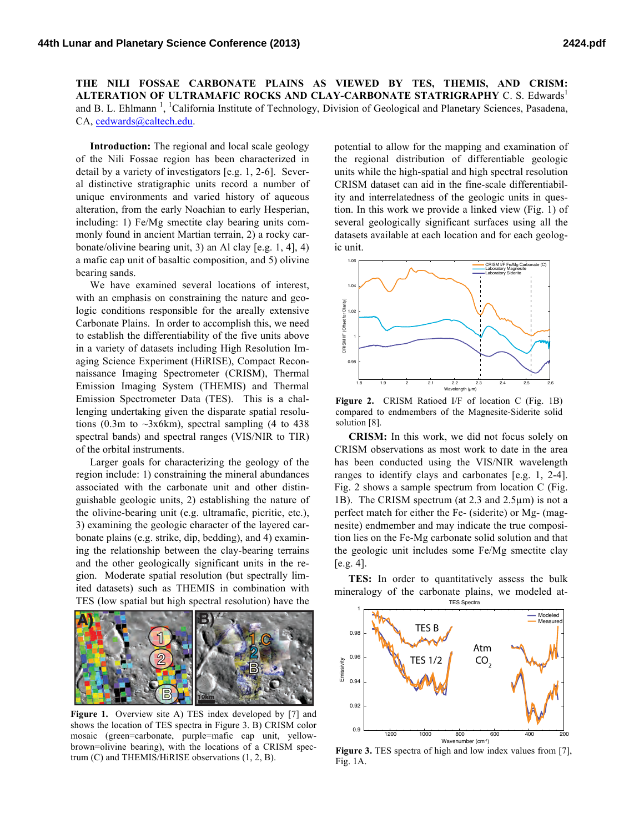**THE NILI FOSSAE CARBONATE PLAINS AS VIEWED BY TES, THEMIS, AND CRISM: ALTERATION OF ULTRAMAFIC ROCKS AND CLAY-CARBONATE STATRIGRAPHY C. S. Edwards<sup>1</sup>** and B. L. Ehlmann<sup>1</sup>, <sup>1</sup>California Institute of Technology, Division of Geological and Planetary Sciences, Pasadena, CA, cedwards@caltech.edu.

**Introduction:** The regional and local scale geology of the Nili Fossae region has been characterized in detail by a variety of investigators [e.g. 1, 2-6]. Several distinctive stratigraphic units record a number of unique environments and varied history of aqueous alteration, from the early Noachian to early Hesperian, including: 1) Fe/Mg smectite clay bearing units commonly found in ancient Martian terrain, 2) a rocky carbonate/olivine bearing unit, 3) an Al clay [e.g. 1, 4], 4) a mafic cap unit of basaltic composition, and 5) olivine bearing sands.

We have examined several locations of interest, with an emphasis on constraining the nature and geologic conditions responsible for the areally extensive Carbonate Plains. In order to accomplish this, we need to establish the differentiability of the five units above in a variety of datasets including High Resolution Imaging Science Experiment (HiRISE), Compact Reconnaissance Imaging Spectrometer (CRISM), Thermal Emission Imaging System (THEMIS) and Thermal Emission Spectrometer Data (TES). This is a challenging undertaking given the disparate spatial resolutions (0.3m to  $\sim$ 3x6km), spectral sampling (4 to 438) spectral bands) and spectral ranges (VIS/NIR to TIR) of the orbital instruments.

Larger goals for characterizing the geology of the region include: 1) constraining the mineral abundances associated with the carbonate unit and other distinguishable geologic units, 2) establishing the nature of the olivine-bearing unit (e.g. ultramafic, picritic, etc.), 3) examining the geologic character of the layered carbonate plains (e.g. strike, dip, bedding), and 4) examining the relationship between the clay-bearing terrains and the other geologically significant units in the region. Moderate spatial resolution (but spectrally limited datasets) such as THEMIS in combination with TES (low spatial but high spectral resolution) have the



**Figure 1.** Overview site A) TES index developed by [7] and shows the location of TES spectra in Figure 3. B) CRISM color mosaic (green=carbonate, purple=mafic cap unit, yellowbrown=olivine bearing), with the locations of a CRISM spectrum (C) and THEMIS/HiRISE observations (1, 2, B).

potential to allow for the mapping and examination of the regional distribution of differentiable geologic units while the high-spatial and high spectral resolution CRISM dataset can aid in the fine-scale differentiability and interrelatedness of the geologic units in question. In this work we provide a linked view (Fig. 1) of several geologically significant surfaces using all the datasets available at each location and for each geologic unit.



**Figure 2.** CRISM Ratioed I/F of location C (Fig. 1B) compared to endmembers of the Magnesite-Siderite solid solution [8].

**CRISM:** In this work, we did not focus solely on CRISM observations as most work to date in the area has been conducted using the VIS/NIR wavelength ranges to identify clays and carbonates [e.g. 1, 2-4]. Fig. 2 shows a sample spectrum from location C (Fig. 1B). The CRISM spectrum (at 2.3 and 2.5µm) is not a perfect match for either the Fe- (siderite) or Mg- (magnesite) endmember and may indicate the true composition lies on the Fe-Mg carbonate solid solution and that the geologic unit includes some Fe/Mg smectite clay [e.g. 4].

**TES:** In order to quantitatively assess the bulk mineralogy of the carbonate plains, we modeled at-



Figure 3. TES spectra of high and low index values from [7], Fig. 1A.